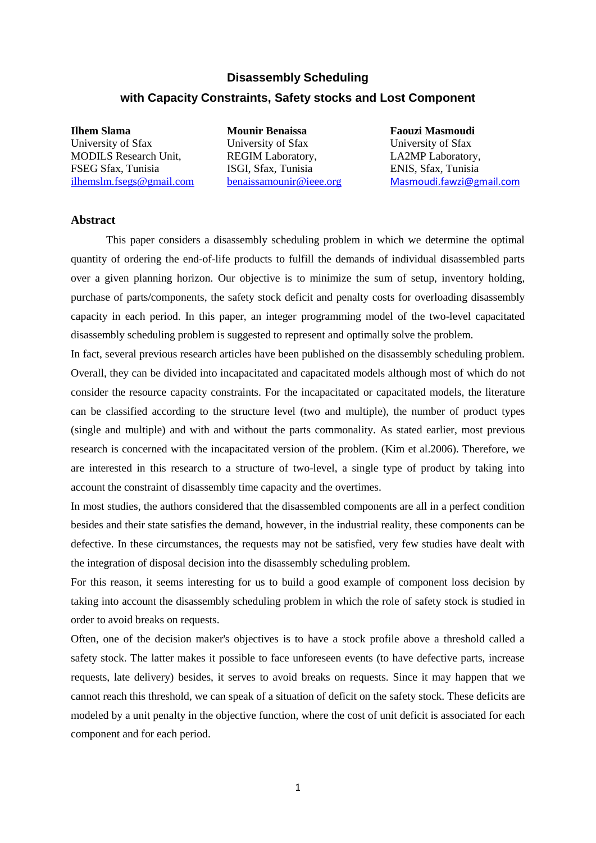#### **Disassembly Scheduling**

### **with Capacity Constraints, Safety stocks and Lost Component**

**Ilhem Slama** University of Sfax MODILS Research Unit, FSEG Sfax, Tunisia [ilhemslm.fsegs@gmail.com](mailto:ilhemslm.fsegs@gmail.com) **Mounir Benaissa** University of Sfax REGIM Laboratory, ISGI, Sfax, Tunisia [benaissamounir@ieee.org](mailto:benaissamounir@ieee.org) **Faouzi Masmoudi** University of Sfax LA2MP Laboratory, ENIS, Sfax, Tunisia [Masmoudi.fawzi@gmail.com](mailto:Masmoudi.fawzi@gmail.com)

#### **Abstract**

This paper considers a disassembly scheduling problem in which we determine the optimal quantity of ordering the end-of-life products to fulfill the demands of individual disassembled parts over a given planning horizon. Our objective is to minimize the sum of setup, inventory holding, purchase of parts/components, the safety stock deficit and penalty costs for overloading disassembly capacity in each period. In this paper, an integer programming model of the two-level capacitated disassembly scheduling problem is suggested to represent and optimally solve the problem.

In fact, several previous research articles have been published on the disassembly scheduling problem. Overall, they can be divided into incapacitated and capacitated models although most of which do not consider the resource capacity constraints. For the incapacitated or capacitated models, the literature can be classified according to the structure level (two and multiple), the number of product types (single and multiple) and with and without the parts commonality. As stated earlier, most previous research is concerned with the incapacitated version of the problem. (Kim et al.2006). Therefore, we are interested in this research to a structure of two-level, a single type of product by taking into account the constraint of disassembly time capacity and the overtimes.

In most studies, the authors considered that the disassembled components are all in a perfect condition besides and their state satisfies the demand, however, in the industrial reality, these components can be defective. In these circumstances, the requests may not be satisfied, very few studies have dealt with the integration of disposal decision into the disassembly scheduling problem.

For this reason, it seems interesting for us to build a good example of component loss decision by taking into account the disassembly scheduling problem in which the role of safety stock is studied in order to avoid breaks on requests.

Often, one of the decision maker's objectives is to have a stock profile above a threshold called a safety stock. The latter makes it possible to face unforeseen events (to have defective parts, increase requests, late delivery) besides, it serves to avoid breaks on requests. Since it may happen that we cannot reach this threshold, we can speak of a situation of deficit on the safety stock. These deficits are modeled by a unit penalty in the objective function, where the cost of unit deficit is associated for each component and for each period.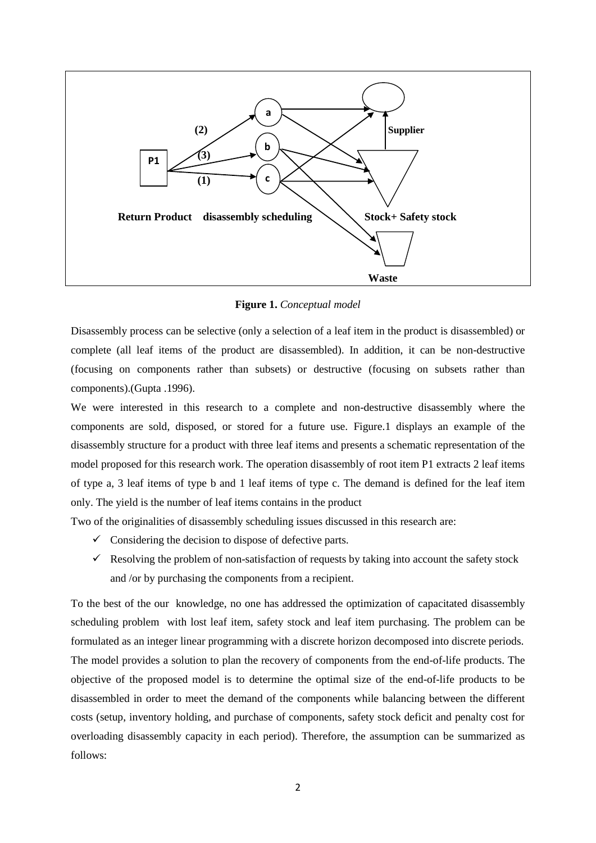

**Figure 1.** *Conceptual model* 

Disassembly process can be selective (only a selection of a leaf item in the product is disassembled) or complete (all leaf items of the product are disassembled). In addition, it can be non-destructive (focusing on components rather than subsets) or destructive (focusing on subsets rather than components).(Gupta .1996).

We were interested in this research to a complete and non-destructive disassembly where the components are sold, disposed, or stored for a future use. Figure.1 displays an example of the disassembly structure for a product with three leaf items and presents a schematic representation of the model proposed for this research work. The operation disassembly of root item P1 extracts 2 leaf items of type a, 3 leaf items of type b and 1 leaf items of type c. The demand is defined for the leaf item only. The yield is the number of leaf items contains in the product

Two of the originalities of disassembly scheduling issues discussed in this research are:

- $\checkmark$  Considering the decision to dispose of defective parts.
- $\checkmark$  Resolving the problem of non-satisfaction of requests by taking into account the safety stock and /or by purchasing the components from a recipient.

To the best of the our knowledge, no one has addressed the optimization of capacitated disassembly scheduling problem with lost leaf item, safety stock and leaf item purchasing. The problem can be formulated as an integer linear programming with a discrete horizon decomposed into discrete periods. The model provides a solution to plan the recovery of components from the end-of-life products. The objective of the proposed model is to determine the optimal size of the end-of-life products to be disassembled in order to meet the demand of the components while balancing between the different costs (setup, inventory holding, and purchase of components, safety stock deficit and penalty cost for overloading disassembly capacity in each period). Therefore, the assumption can be summarized as follows: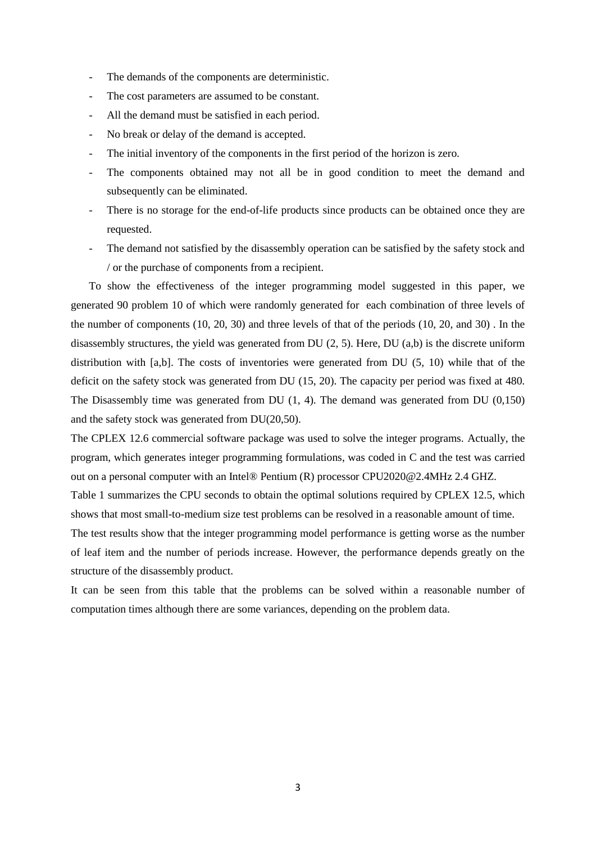- The demands of the components are deterministic.
- The cost parameters are assumed to be constant.
- All the demand must be satisfied in each period.
- No break or delay of the demand is accepted.
- The initial inventory of the components in the first period of the horizon is zero.
- The components obtained may not all be in good condition to meet the demand and subsequently can be eliminated.
- There is no storage for the end-of-life products since products can be obtained once they are requested.
- The demand not satisfied by the disassembly operation can be satisfied by the safety stock and / or the purchase of components from a recipient.

To show the effectiveness of the integer programming model suggested in this paper, we generated 90 problem 10 of which were randomly generated for each combination of three levels of the number of components (10, 20, 30) and three levels of that of the periods (10, 20, and 30) . In the disassembly structures, the yield was generated from DU (2, 5). Here, DU (a,b) is the discrete uniform distribution with [a,b]. The costs of inventories were generated from DU (5, 10) while that of the deficit on the safety stock was generated from DU (15, 20). The capacity per period was fixed at 480. The Disassembly time was generated from DU (1, 4). The demand was generated from DU (0,150) and the safety stock was generated from DU(20,50).

The CPLEX 12.6 commercial software package was used to solve the integer programs. Actually, the program, which generates integer programming formulations, was coded in C and the test was carried out on a personal computer with an Intel® Pentium (R) processor CPU2020@2.4MHz 2.4 GHZ.

Table 1 summarizes the CPU seconds to obtain the optimal solutions required by CPLEX 12.5, which shows that most small-to-medium size test problems can be resolved in a reasonable amount of time.

The test results show that the integer programming model performance is getting worse as the number of leaf item and the number of periods increase. However, the performance depends greatly on the structure of the disassembly product.

It can be seen from this table that the problems can be solved within a reasonable number of computation times although there are some variances, depending on the problem data.